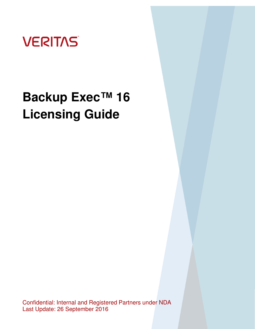

Confidential: Internal and Registered Partners under NDA Last Update: 26 September 2016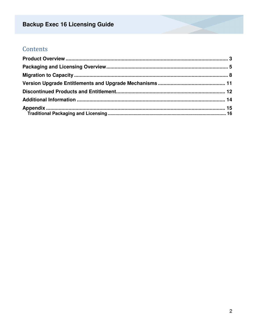## Contents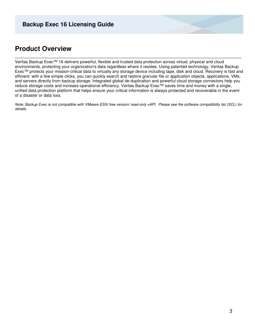### **Product Overview**

Veritas Backup Exec™ 16 delivers powerful, flexible and trusted data protection across virtual, physical and cloud environments, protecting your organization's data regardless where it resides. Using patented technology, Veritas Backup Exec™ protects your mission-critical data to virtually any storage device including tape, disk and cloud. Recovery is fast and efficient: with a few simple clicks, you can quickly search and restore granular file or application objects, applications, VMs, and servers directly from backup storage. Integrated global de-duplication and powerful cloud storage connectors help you reduce storage costs and increase operational efficiency. Veritas Backup Exec™ saves time and money with a single, unified data protection platform that helps ensure your critical information is always protected and recoverable in the event of a disaster or data loss.

Note: Backup Exec is not compatible with VMware ESXi free version/ read-only vAPI. Please see the software compatibility list (SCL) for details.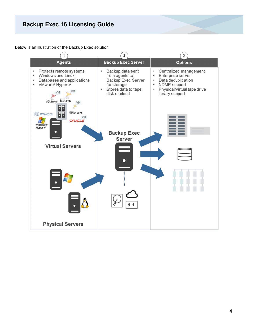Below is an illustration of the Backup Exec solution

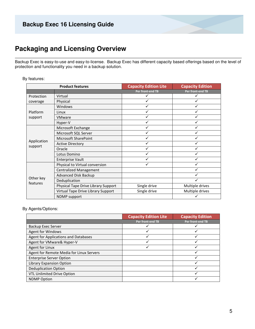### **Packaging and Licensing Overview**

Backup Exec is easy-to-use and easy-to-license. Backup Exec has different capacity based offerings based on the level of protection and functionality you need in a backup solution.

#### By features:

|                       | <b>Product features</b>             | <b>Capacity Edition Lite</b> | <b>Capacity Edition</b> |
|-----------------------|-------------------------------------|------------------------------|-------------------------|
|                       |                                     | Per front-end TB             | Per front-end TB        |
| Virtual<br>Protection |                                     |                              |                         |
| Physical<br>coverage  |                                     | ✓                            |                         |
|                       | Windows                             | $\checkmark$                 |                         |
| Platform              | Linux                               | ✓                            |                         |
| support               | <b>VMware</b>                       | ✓                            |                         |
|                       | Hyper-V                             |                              |                         |
|                       | Microsoft Exchange                  |                              |                         |
|                       | Microsoft SQL Server                | ✓                            | ✓                       |
|                       | Microsoft SharePoint                |                              |                         |
| Application           | <b>Active Directory</b>             | ✓                            |                         |
| support               | Oracle                              | $\checkmark$                 |                         |
|                       | Lotus Domino                        |                              |                         |
|                       | <b>Enterprise Vault</b>             | $\checkmark$                 |                         |
|                       | Physical to Virtual conversion      |                              |                         |
|                       | <b>Centralized Management</b>       |                              |                         |
|                       | Advanced Disk Backup                |                              |                         |
| Other key<br>features | Deduplication                       |                              |                         |
|                       | Physical Tape Drive Library Support | Single drive                 | Multiple drives         |
|                       | Virtual Tape Drive Library Support  | Single drive                 | Multiple drives         |
|                       | <b>NDMP</b> support                 |                              |                         |

#### By Agents/Options:

|                                          | <b>Capacity Edition Lite</b> | <b>Capacity Edition</b> |
|------------------------------------------|------------------------------|-------------------------|
|                                          | Per front-end TB             | Per front-end TB        |
| <b>Backup Exec Server</b>                |                              |                         |
| Agent for Windows                        |                              |                         |
| Agent for Applications and Databases     |                              |                         |
| Agent for VMware& Hyper-V                |                              |                         |
| Agent for Linux                          |                              |                         |
| Agent for Remote Media for Linux Servers |                              |                         |
| <b>Enterprise Server Option</b>          |                              |                         |
| <b>Library Expansion Option</b>          |                              |                         |
| <b>Deduplication Option</b>              |                              |                         |
| <b>VTL Unlimited Drive Option</b>        |                              |                         |
| <b>NDMP Option</b>                       |                              |                         |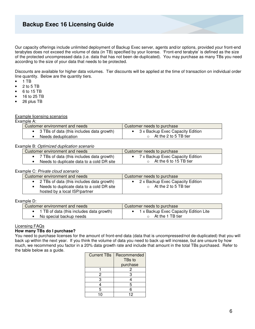Our capacity offerings include unlimited deployment of Backup Exec server, agents and/or options, provided your front-end terabytes does not exceed the volume of data (in TB) specified by your license. 'Front-end terabyte' is defined as the size of the protected uncompressed data (i.e. data that has not been de-duplicated). You may purchase as many TBs you need according to the size of your data that needs to be protected.

Discounts are available for higher data volumes. Tier discounts will be applied at the time of transaction on individual order line quantity. Below are the quantity tiers.

- $1 TB$
- 2 to 5 TB
- 6 to 15 TB
- 16 to 25 TB
- 26 plus TB

#### Example licensing scenarios

| Example A: |  |
|------------|--|
|            |  |

| Customer environment and needs              | Customer needs to purchase         |
|---------------------------------------------|------------------------------------|
| • 3 TBs of data (this includes data growth) | • 3 x Backup Exec Capacity Edition |
| Needs deduplication                         | At the 2 to 5 TB tier              |

#### Example B: Optimized duplication scenario

| Customer environment and needs              | Customer needs to purchase       |
|---------------------------------------------|----------------------------------|
| • 7 TBs of data (this includes data growth) | 7 x Backup Exec Capacity Edition |
| Needs to duplicate data to a cold DR site   | At the 6 to 15 TB tier           |

#### Example C: Private cloud scenario

| Customer environment and needs                                                                                            | Customer needs to purchase                                |
|---------------------------------------------------------------------------------------------------------------------------|-----------------------------------------------------------|
| • 2 TBs of data (this includes data growth)<br>Needs to duplicate data to a cold DR site<br>hosted by a local ISP/partner | 2 x Backup Exec Capacity Edition<br>At the 2 to 5 TB tier |

#### Example D:

| Customer environment and needs             | Customer needs to purchase              |
|--------------------------------------------|-----------------------------------------|
| • 1 TB of data (this includes data growth) | • 1 x Backup Exec Capacity Edition Lite |
| • No special backup needs                  | At the 1 TB tier                        |

#### Licensing FAQs

#### **How many TBs do I purchase?**

You need to purchase licenses for the amount of front-end data (data that is uncompressed/not de-duplicated) that you will back up within the next year. If you think the volume of data you need to back up will increase, but are unsure by how much, we recommend you factor in a 20% data growth rate and include that amount in the total TBs purchased. Refer to the table below as a guide.

| <b>Current TBs</b> | Recommended<br>TBs to |
|--------------------|-----------------------|
|                    | purchase              |
|                    | 2                     |
| 2                  | 3                     |
| 3                  |                       |
|                    | 5                     |
| 5                  | 6                     |
| 1 ∩                | 12                    |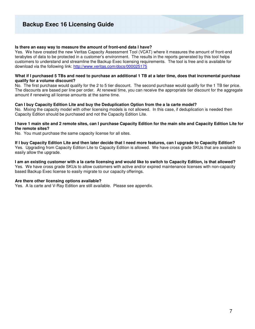#### **Is there an easy way to measure the amount of front-end data I have?**

Yes. We have created the new Veritas Capacity Assessment Tool (VCAT) where it measures the amount of front-end terabytes of data to be protected in a customer's environment. The results in the reports generated by this tool helps customers to understand and streamline the Backup Exec licensing requirements. The tool is free and is available for download via the following link: http://www.veritas.com/docs/000025175

#### **What if I purchased 5 TBs and need to purchase an additional 1 TB at a later time, does that incremental purchase qualify for a volume discount?**

No. The first purchase would qualify for the 2 to 5 tier discount. The second purchase would qualify for the 1 TB tier price. The discounts are based per line per order. At renewal time, you can receive the appropriate tier discount for the aggregate amount if renewing all license amounts at the same time.

#### **Can I buy Capacity Edition Lite and buy the Deduplication Option from the a la carte model?**

No. Mixing the capacity model with other licensing models is not allowed. In this case, if deduplication is needed then Capacity Edition should be purchased and not the Capacity Edition Lite.

#### **I have 1 main site and 2 remote sites, can I purchase Capacity Edition for the main site and Capacity Edition Lite for the remote sites?**

No. You must purchase the same capacity license for all sites.

**If I buy Capacity Edition Lite and then later decide that I need more features, can I upgrade to Capacity Edition?**  Yes. Upgrading from Capacity Edition Lite to Capacity Edition is allowed. We have cross grade SKUs that are available to

easily allow the upgrade.

**I am an existing customer with a la carte licensing and would like to switch to Capacity Edition, is that allowed?**  Yes. We have cross grade SKUs to allow customers with active and/or expired maintenance licenses with non-capacity based Backup Exec license to easily migrate to our capacity offerings.

#### **Are there other licensing options available?**

Yes. A la carte and V-Ray Edition are still available. Please see appendix.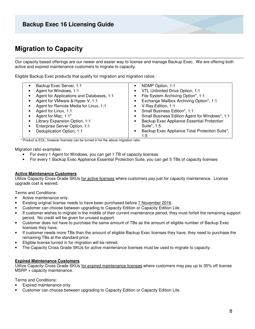### **Migration to Capacity**

Our capacity based offerings are our newer and easier way to license and manage Backup Exec. We are offering both active and expired maintenance customers to migrate to capacity.

Eligible Backup Exec products that qualify for migration and migration ratios:

\* Product is EOL, however licenses can be turned in for the above migration ratio.

Migration ratio examples:

- For every 1 Agent for Windows, you can get 1 TB of capacity licenses
- For every 1 Backup Exec Appliance Essential Protection Suite, you can get 5 TBs of capacity licenses

#### **Active Maintenance Customers**

Utilize Capacity Cross Grade SKUs for active licenses where customers pay just for capacity maintenance. License upgrade cost is waived.

Terms and Conditions:

- Active maintenance only.
- Existing original license needs to have been purchased before 7 November 2016.
- Customer can choose between upgrading to Capacity Edition or Capacity Edition Lite.
- If customer wishes to migrate in the middle of their current maintenance period, they must forfeit the remaining support period. No credit will be given for unused support.
- Customer does not have to purchase the same amount of TBs as the amount of eligible number of Backup Exec licenses they have.
- If customer needs more TBs than the amount of eligible Backup Exec licenses they have, they need to purchase the remaining TBs at the standard price.
- Eligible license turned in for migration will be retired.
- The Capacity Cross Grade SKUs for active maintenance licenses must be used to migrate to capacity.

#### **Expired Maintenance Customers**

Utilize Capacity Cross Grade SKUs for expired maintenance licenses where customers may pay up to 35% off license MSRP + capacity maintenance.

Terms and Conditions:

- Expired maintenance only.
- Customer can choose between upgrading to Capacity Edition or Capacity Edition Lite.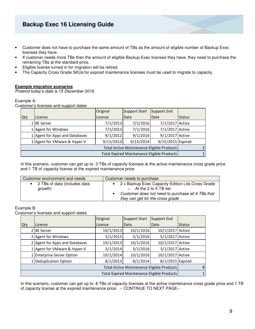- Customer does not have to purchase the same amount of TBs as the amount of eligible number of Backup Exec licenses they have.
- If customer needs more TBs than the amount of eligible Backup Exec licenses they have, they need to purchase the remaining TBs at the standard price.
- Eligible license turned in for migration will be retired.
- The Capacity Cross Grade SKUs for expired maintenance licenses must be used to migrate to capacity.

#### **Example migration scenarios**

Pretend today's date is 15 December 2016

#### Example A:

Customer's licenses and support dates

|                                             |  |                                | Original  | <b>Support Start</b> | Support End       |               |
|---------------------------------------------|--|--------------------------------|-----------|----------------------|-------------------|---------------|
| <b>Qty</b>                                  |  | License                        | License   | Date                 | Date              | <b>Status</b> |
|                                             |  | . IBE Server                   | 7/1/2013  | 7/1/2016             | 7/1/2017 Active   |               |
|                                             |  | 1 Agent for Windows            | 7/1/2013  | 7/1/2016             | 7/1/2017 Active   |               |
|                                             |  | 1 Agent for Apps and Databases | 9/1/2012  | 9/1/2016             | 9/1/2017 Active   |               |
|                                             |  | 1 Agent for VMware & Hyper-V   | 9/15/2013 | 9/15/2014            | 9/15/2015 Expired |               |
| Total Active Maintenance Eligible Products  |  |                                |           |                      |                   |               |
| Total Expired Maintenance Eligible Products |  |                                |           |                      |                   |               |

In this scenario, customer can get up to: 3 TBs of capacity licenses at the active maintenance cross grade price and 1 TB of capacity license at the expired maintenance price.

| Customer environment and needs            | Customer needs to purchase                                                            |
|-------------------------------------------|---------------------------------------------------------------------------------------|
| • 2 TBs of data (includes data<br>growth) | 2 x Backup Exec Capacity Edition Lite, Cross Grade<br>$\circ$ At the 2 to 5 TB tier   |
|                                           | Customer does not need to purchase all 4 TBs that<br>they can get for the cross grade |

#### Example B:

Customer's licenses and support dates

|     |                                             | Original  | <b>Support Start</b> | Support End      |               |
|-----|---------------------------------------------|-----------|----------------------|------------------|---------------|
| Qty | License                                     | License   | Date                 | Date             | <b>Status</b> |
|     | 2 l BE Server                               | 10/1/2013 | 10/1/2016            | 10/1/2017 Active |               |
|     | 2 Agent for Windows                         | 5/1/2015  | 5/1/2016             | 5/1/2017 Active  |               |
|     | 2 Agent for Apps and Databases              | 10/1/2013 | 10/1/2016            | 10/1/2017 Active |               |
|     | 1 Agent for VMware & Hyper-V                | 3/1/2014  | 3/1/2016             | 3/1/2017 Active  |               |
|     | 1 Enterprise Server Option                  | 10/1/2014 | 10/1/2016            | 10/1/2017 Active |               |
|     | 1 Deduplication Option                      | 8/1/2013  | 8/1/2014             | 8/1/2015 Expired |               |
|     | Total Active Maintenance Eligible Products  |           |                      | 8                |               |
|     | Total Expired Maintenance Eligible Products |           |                      |                  |               |

In this scenario, customer can get up to: 8 TBs of capacity licenses at the active maintenance cross grade price and 1 TB of capacity license at the expired maintenance price. -- CONTINUE TO NEXT PAGE--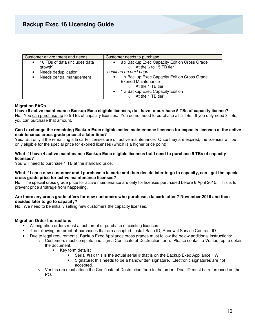| Customer environment and needs                                                                                | Customer needs to purchase                                                                                                                                                                                                                                               |
|---------------------------------------------------------------------------------------------------------------|--------------------------------------------------------------------------------------------------------------------------------------------------------------------------------------------------------------------------------------------------------------------------|
| 10 TBs of data (includes data<br>$\bullet$<br>growth)<br>Needs deduplication<br>Needs central management<br>٠ | 8 x Backup Exec Capacity Edition Cross Grade<br>At the 6 to 15 TB tier<br>-continue on next page-<br>1 x Backup Exec Capacity Edition Cross Grade<br><b>Expired Maintenance</b><br>At the 1 TB tier<br>1 x Backup Exec Capacity Edition<br>$\bullet$<br>At the 1 TB tier |

#### **Migration FAQs**

**I have 5 active maintenance Backup Exec eligible licenses, do I have to purchase 5 TBs of capacity license?**  No. You can purchase up to 5 TBs of capacity licenses. You do not need to purchase all 5 TBs. If you only need 3 TBs, you can purchase that amount.

#### **Can I exchange the remaining Backup Exec eligible active maintenance licenses for capacity licenses at the active maintenance cross grade price at a later time?**

Yes. But only if the remaining a la carte licenses are on active maintenance. Once they are expired, the licenses will be only eligible for the special price for expired licenses (which is a higher price point).

#### **What if I have 4 active maintenance Backup Exec eligible licenses but I need to purchase 5 TBs of capacity licenses?**

You will need to purchase 1 TB at the standard price.

#### **What if I am a new customer and I purchase a la carte and then decide later to go to capacity, can I get the special cross grade price for active maintenance licenses?**

No. The special cross grade price for active maintenance are only for licenses purchased before 6 April 2015. This is to prevent price arbitrage from happening.

#### **Are there any cross grade offers for new customers who purchase a la carte after 7 November 2016 and then decides later to go to capacity?**

No. We need to be initially selling new customers the capacity licenses.

#### **Migration Order Instructions**

- All migration orders must attach proof of purchase of existing licenses.
	- The following are proof-of-purchases that are accepted: Install Base ID, Renewal Service Contract ID
- Due to legal requirements, Backup Exec Appliance cross grades must follow the below additional instructions:
	- $\circ$  Customers must complete and sign a Certificate of Destruction form. Please contact a Veritas rep to obtain the document.
		- Key form details:
			- Serial  $\#(s)$ : this is the actual serial  $\#$  that is on the Backup Exec Appliance HW
			- Signature: this needs to be a handwritten signature. Electronic signatures are not accepted.
		- $\circ$  Veritas rep must attach the Certificate of Destruction form to the order. Deal ID must be referenced on the PO.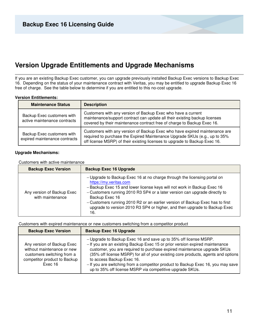### **Version Upgrade Entitlements and Upgrade Mechanisms**

If you are an existing Backup Exec customer, you can upgrade previously installed Backup Exec versions to Backup Exec 16. Depending on the status of your maintenance contract with Veritas, you may be entitled to upgrade Backup Exec 16 free of charge. See the table below to determine if you are entitled to this no-cost upgrade.

#### **Version Entitlements:**

| <b>Maintenance Status</b>                                   | <b>Description</b>                                                                                                                                                                                                                     |
|-------------------------------------------------------------|----------------------------------------------------------------------------------------------------------------------------------------------------------------------------------------------------------------------------------------|
| Backup Exec customers with<br>active maintenance contracts  | Customers with any version of Backup Exec who have a current<br>maintenance/support contract can update all their existing backup licenses<br>covered by their maintenance contract free of charge to Backup Exec 16.                  |
| Backup Exec customers with<br>expired maintenance contracts | Customers with any version of Backup Exec who have expired maintenance are<br>required to purchase the Expired Maintenance Upgrade SKUs (e.g., up to 35%<br>off license MSRP) of their existing licenses to upgrade to Backup Exec 16. |

#### **Upgrade Mechanisms:**

Customers with active maintenance

| <b>Backup Exec Version</b>                     | <b>Backup Exec 16 Upgrade</b>                                                                                                                                                                                                                                                                                                                                                                                                                      |
|------------------------------------------------|----------------------------------------------------------------------------------------------------------------------------------------------------------------------------------------------------------------------------------------------------------------------------------------------------------------------------------------------------------------------------------------------------------------------------------------------------|
| Any version of Backup Exec<br>with maintenance | - Upgrade to Backup Exec 16 at no charge through the licensing portal on<br>https://my.veritas.com<br>- Backup Exec 15 and lower license keys will not work in Backup Exec 16<br>- Customers running 2010 R3 SP4 or a later version can upgrade directly to<br>Backup Exec 16<br>- Customers running 2010 R2 or an earlier version of Backup Exec has to first<br>upgrade to version 2010 R3 SP4 or higher, and then upgrade to Backup Exec<br>16. |

Customers with expired maintenance or new customers switching from a competitor product

| <b>Backup Exec Version</b>                                                                                                        | <b>Backup Exec 16 Upgrade</b>                                                                                                                                                                                                                                                                                                                                                                                                                                                                 |
|-----------------------------------------------------------------------------------------------------------------------------------|-----------------------------------------------------------------------------------------------------------------------------------------------------------------------------------------------------------------------------------------------------------------------------------------------------------------------------------------------------------------------------------------------------------------------------------------------------------------------------------------------|
| Any version of Backup Exec<br>without maintenance or new<br>customers switching from a<br>competitor product to Backup<br>Exec 16 | - Upgrade to Backup Exec 16 and save up to 35% off license MSRP.<br>- If you are an existing Backup Exec 15 or prior version expired maintenance<br>customer, you are required to purchase expired maintenance upgrade SKUs<br>(35% off license MSRP) for all of your existing core products, agents and options<br>to access Backup Exec 16.<br>- If you are switching from a competitor product to Backup Exec 16, you may save<br>up to 35% off license MSRP via competitive upgrade SKUs. |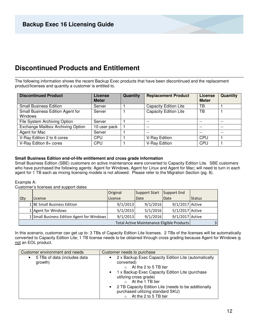### **Discontinued Products and Entitlement**

The following information shows the recent Backup Exec products that have been discontinued and the replacement product/licenses and quantity a customer is entitled to.

| <b>Discontinued Product</b>                        | License<br><b>Meter</b> | Quantity | <b>Replacement Product</b>   | License<br><b>Meter</b> | Quantity |
|----------------------------------------------------|-------------------------|----------|------------------------------|-------------------------|----------|
| <b>Small Business Edition</b>                      | Server                  |          | <b>Capacity Edition Lite</b> | TВ                      |          |
| Small Business Edition Agent for<br><b>Windows</b> | Server                  |          | <b>Capacity Edition Lite</b> | ТB                      |          |
| File System Archiving Option                       | Server                  |          | $ -$                         | --                      | $- -$    |
| Exchange Mailbox Archiving Option                  | 10 user pack            |          | $- -$                        | $- -$                   | $- -$    |
| Agent for Mac                                      | Server                  |          | $- -$                        | $- -$                   | $- -$    |
| V-Ray Edition 2 to 6 cores                         | CPU                     |          | V-Ray Edition                | <b>CPU</b>              |          |
| V-Ray Edition 8+ cores                             | <b>CPU</b>              |          | V-Ray Edition                | CPU                     |          |

#### **Small Business Edition end-of-life entitlement and cross grade information**

Small Business Edition (SBE) customers on active maintenance were converted to Capacity Edition Lite. SBE customers who have purchased the following agents: Agent for Windows, Agent for Linux and Agent for Mac; will need to turn in each agent for 1 TB each as mixing licensing models is not allowed. Please refer to the Migration Section (pg. 8).

#### Example A:

Customer's licenses and support dates

|            |                                            | <b>Original</b> | Support Start | Support End                                |                |
|------------|--------------------------------------------|-----------------|---------------|--------------------------------------------|----------------|
| <b>Qty</b> | License                                    | License         | Date          | Date                                       | <b>Status</b>  |
|            | 1 BE Small Business Edition                | 9/1/2013        | 9/1/2016      | 9/1/2017 Active                            |                |
|            | 1 Agent for Windows                        | 5/1/2015        | 5/1/2016      | 5/1/2017 Active                            |                |
|            | 1 Small Business Edition Agent for Windows | 9/1/2013        | 9/1/2016      | 9/1/2017 Active                            |                |
|            |                                            |                 |               | Total Active Maintenance Eligible Products | $\overline{3}$ |

In this scenario, customer can get up to: 3 TBs of Capacity Edition Lite licenses. 2 TBs of the licenses will be automatically converted to Capacity Edition Lite; 1 TB license needs to be obtained through cross grading because Agent for Windows is not an EOL product.

| Customer environment and needs                       | Customer needs to purchase                                                                                                                                                                                                                                                                                                                                |
|------------------------------------------------------|-----------------------------------------------------------------------------------------------------------------------------------------------------------------------------------------------------------------------------------------------------------------------------------------------------------------------------------------------------------|
| 5 TBs of data (includes data<br>$\bullet$<br>growth) | 2 x Backup Exec Capacity Edition Lite (automatically<br>$\bullet$<br>converted)<br>At the 2 to 5 TB tier<br>1 x Backup Exec Capacity Edition Lite (purchase<br>$\bullet$<br>utilizing cross grade)<br>At the 1 TB tier<br>2 TB Capacity Edition Lite (needs to be additionally<br>$\bullet$<br>purchased utilizing standard SKU)<br>At the 2 to 5 TB tier |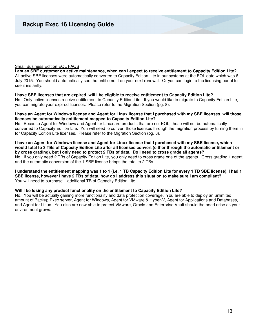#### Small Business Edition EOL FAQS

**I am an SBE customer on active maintenance, when can I expect to receive entitlement to Capacity Edition Lite?**  All active SBE licenses were automatically converted to Capacity Edition Lite in our systems at the EOL date which was 6 July 2015. You should automatically see the entitlement on your next renewal. Or you can login to the licensing portal to see it instantly.

#### **I have SBE licenses that are expired, will I be eligible to receive entitlement to Capacity Edition Lite?**

No. Only active licenses receive entitlement to Capacity Edition Lite. If you would like to migrate to Capacity Edition Lite, you can migrate your expired licenses. Please refer to the Migration Section (pg. 8).

#### **I have an Agent for Windows license and Agent for Linux license that I purchased with my SBE licenses, will those licenses be automatically entitlement mapped to Capacity Edition Lite?**

No. Because Agent for Windows and Agent for Linux are products that are not EOL, those will not be automatically converted to Capacity Edition Lite. You will need to convert those licenses through the migration process by turning them in for Capacity Edition Lite licenses. Please refer to the Migration Section (pg. 8).

**I have an Agent for Windows license and Agent for Linux license that I purchased with my SBE license, which would total to 3 TBs of Capacity Edition Lite after all licenses convert (either through the automatic entitlement or by cross grading), but I only need to protect 2 TBs of data. Do I need to cross grade all agents?**  No. If you only need 2 TBs of Capacity Edition Lite, you only need to cross grade one of the agents. Cross grading 1 agent and the automatic conversion of the 1 SBE license brings the total to 2 TBs.

**I understand the entitlement mapping was 1 to 1 (i.e. 1 TB Capacity Edition Lite for every 1 TB SBE license), I had 1 SBE license, however I have 2 TBs of data, how do I address this situation to make sure I am compliant?**  You will need to purchase 1 additional TB of Capacity Edition Lite.

#### **Will I be losing any product functionality on the entitlement to Capacity Edition Lite?**

No. You will be actually gaining more functionality and data protection coverage. You are able to deploy an unlimited amount of Backup Exec server, Agent for Windows, Agent for VMware & Hyper-V, Agent for Applications and Databases, and Agent for Linux. You also are now able to protect VMware, Oracle and Enterprise Vault should the need arise as your environment grows.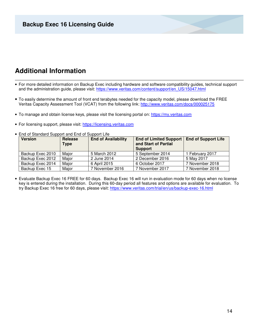### **Additional Information**

- For more detailed information on Backup Exec including hardware and software compatibility guides, technical support and the administration guide, please visit: https://www.veritas.com/content/support/en\_US/15047.html
- To easily determine the amount of front end terabytes needed for the capacity model, please download the FREE Veritas Capacity Assessment Tool (VCAT) from the following link: http://www.veritas.com/docs/000025175
- To manage and obtain license keys, please visit the licensing portal on: https://my.veritas.com
- For licensing support, please visit: https://licensing.veritas.com

| <b>Version</b>   | Release<br><b>Type</b> | <b>End of Availability</b> | <b>End of Limited Support</b><br>and Start of Partial<br><b>Support</b> | <b>End of Support Life</b> |
|------------------|------------------------|----------------------------|-------------------------------------------------------------------------|----------------------------|
| Backup Exec 2010 | Major                  | 5 March 2012               | 5 September 2014                                                        | 1 February 2017            |
| Backup Exec 2012 | Major                  | 2 June 2014                | 2 December 2016                                                         | 5 May 2017                 |
| Backup Exec 2014 | Major                  | 6 April 2015               | 6 October 2017                                                          | 7 November 2018            |
| Backup Exec 15   | Major                  | 7 November 2016            | 7 November 2017                                                         | 7 November 2018            |

• End of Standard Support and End of Support Life

• Evaluate Backup Exec 16 FREE for 60 days. Backup Exec 16 will run in evaluation mode for 60 days when no license key is entered during the installation. During this 60-day period all features and options are available for evaluation. To try Backup Exec 16 free for 60 days, please visit: https://www.veritas.com/trial/en/us/backup-exec-16.html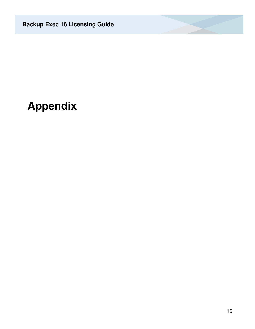# **Appendix**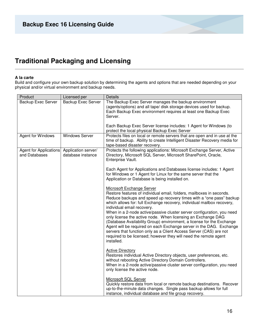## **Traditional Packaging and Licensing**

#### **A la carte**

Build and configure your own backup solution by determining the agents and options that are needed depending on your physical and/or virtual environment and backup needs.

| Product                                                     | Licensed per              | Details                                                                                                                                                                                                                                                                                                                                                                                                                                        |
|-------------------------------------------------------------|---------------------------|------------------------------------------------------------------------------------------------------------------------------------------------------------------------------------------------------------------------------------------------------------------------------------------------------------------------------------------------------------------------------------------------------------------------------------------------|
| <b>Backup Exec Server</b>                                   | <b>Backup Exec Server</b> | The Backup Exec Server manages the backup environment<br>(agents/options) and all tape/ disk storage devices used for backup.<br>Each Backup Exec environment requires at least one Backup Exec<br>Server.                                                                                                                                                                                                                                     |
|                                                             |                           | Each Backup Exec Server license includes: 1 Agent for Windows (to<br>protect the local physical Backup Exec Server                                                                                                                                                                                                                                                                                                                             |
| Agent for Windows                                           | <b>Windows Server</b>     | Protects files on local or remote servers that are open and in use at the<br>time of backup. Ability to create Intelligent Disaster Recovery media for<br>tape-based disaster recovery.                                                                                                                                                                                                                                                        |
| Agent for Applications Application server/<br>and Databases | database instance         | Protects the following applications: Microsoft Exchange Server, Active<br>Directory, Microsoft SQL Server, Microsoft SharePoint, Oracle,<br>Enterprise Vault.                                                                                                                                                                                                                                                                                  |
|                                                             |                           | Each Agent for Applications and Databases license includes: 1 Agent<br>for Windows or 1 Agent for Linux for the same server that the<br>Application or Database is being installed on.                                                                                                                                                                                                                                                         |
|                                                             |                           | <b>Microsoft Exchange Server</b><br>Restore features of individual email, folders, mailboxes in seconds.<br>Reduce backups and speed up recovery times with a "one pass" backup<br>which allows for: full Exchange recovery, individual mailbox recovery,<br>individual email recovery.                                                                                                                                                        |
|                                                             |                           | When in a 2-node active/passive cluster server configuration, you need<br>only license the active node. When licensing an Exchange DAG<br>(Database Availability Group) environment, a license for the Exchange<br>Agent will be required on each Exchange server in the DAG. Exchange<br>servers that function only as a Client Access Server (CAS) are not<br>required to be licensed; however they will need the remote agent<br>installed. |
|                                                             |                           | <b>Active Directory</b><br>Restores individual Active Directory objects, user preferences, etc.<br>without rebooting Active Directory Domain Controllers.<br>When in a 2-node active/passive cluster server configuration, you need<br>only license the active node.                                                                                                                                                                           |
|                                                             |                           | Microsoft SQL Server<br>Quickly restore data from local or remote backup destinations. Recover<br>up-to-the-minute data changes. Single pass backup allows for full<br>instance, individual database and file group recovery.                                                                                                                                                                                                                  |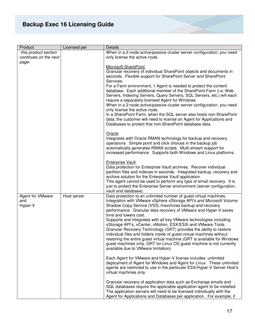| Product                 | Licensed per | <b>Details</b>                                                                                                                                   |
|-------------------------|--------------|--------------------------------------------------------------------------------------------------------------------------------------------------|
| -this product section   |              | When in a 2-node active/passive cluster server configuration, you need                                                                           |
| continues on the next   |              | only license the active node.                                                                                                                    |
| page-                   |              |                                                                                                                                                  |
|                         |              | Microsoft SharePoint                                                                                                                             |
|                         |              | Granular recovery of individual SharePoint objects and documents in                                                                              |
|                         |              | seconds. Flexible support for SharePoint Server and SharePoint                                                                                   |
|                         |              | Services.                                                                                                                                        |
|                         |              | For a Farm environment, 1 Agent is needed to protect the content<br>database. Each additional member of the SharePoint Farm (i.e. Web            |
|                         |              | Servers, Indexing Servers, Query Servers, SQL Servers, etc.) will each                                                                           |
|                         |              | require a separately-licensed Agent for Windows.                                                                                                 |
|                         |              | When in a 2-node active/passive cluster server configuration, you need                                                                           |
|                         |              | only license the active node.                                                                                                                    |
|                         |              | In a SharePoint Farm, when the SQL server also hosts non-SharePoint                                                                              |
|                         |              | data, the customer will need to license an Agent for Applications and                                                                            |
|                         |              | Databases to protect that non-SharePoint database data.                                                                                          |
|                         |              |                                                                                                                                                  |
|                         |              | Oracle                                                                                                                                           |
|                         |              | Integrates with Oracle RMAN technology for backup and recovery                                                                                   |
|                         |              | operations. Simple point and click choices in the backup job                                                                                     |
|                         |              | automatically generates RMAN scripts. Multi-stream support for                                                                                   |
|                         |              | increased performance. Supports both Windows and Linux platforms.                                                                                |
|                         |              | <b>Enterprise Vault</b>                                                                                                                          |
|                         |              | Data protection for Enterprise Vault archives. Recover individual                                                                                |
|                         |              | partition files and indexes in seconds. Integrated backup, recovery and                                                                          |
|                         |              | archive solution for the Enterprise Vault application.                                                                                           |
|                         |              | This agent cannot be used to perform any type of email recovery. It is                                                                           |
|                         |              | just to protect the Enterprise Server environment (server configuration,                                                                         |
|                         |              | vault and database).                                                                                                                             |
| <b>Agent for VMware</b> | Host server  | Data protection to an unlimited number of guest virtual machines.                                                                                |
| and                     |              | Integration with VMware vSphere vStorage API's and Microsoft Volume                                                                              |
| Hyper-V                 |              | Shadow Copy Service (VSS) maximizes backup and recovery                                                                                          |
|                         |              | performance. Granular data recovery of VMware and Hyper-V saves<br>time and lowers cost.                                                         |
|                         |              | Supports and integrates with all key VMware technologies including                                                                               |
|                         |              | vStorage API's, vCenter, vMotion, ESX/ESXi and VMware Tools.                                                                                     |
|                         |              | Granular Recovery Technology (GRT) provides the ability to restore                                                                               |
|                         |              | individual files and folders inside of guest virtual machines without                                                                            |
|                         |              | restoring the entire guest virtual machine (GRT is available for Windows                                                                         |
|                         |              | guest machines only, GRT for Linux OS guest machine is not currently                                                                             |
|                         |              | available due to VMware limitation).                                                                                                             |
|                         |              |                                                                                                                                                  |
|                         |              | Each Agent for VMware and Hyper-V license includes: unlimited                                                                                    |
|                         |              | deployment of Agent for Windows and Agent for Linux. These unlimited<br>agents are restricted to use in the particular ESX/Hyper-V Server Host's |
|                         |              | virtual machines only.                                                                                                                           |
|                         |              |                                                                                                                                                  |
|                         |              | Granular recovery of application data such as Exchange emails and                                                                                |
|                         |              | SQL databases require the applicable application agent to be installed.                                                                          |
|                         |              | The application servers will need to be licensed individually with the                                                                           |
|                         |              | Agent for Applications and Databases per application. For example, if                                                                            |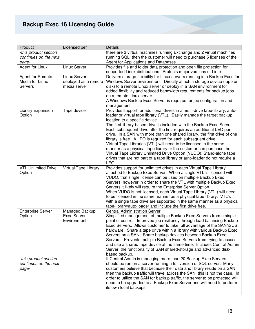| Product                    | Licensed per         | Details                                                                                        |
|----------------------------|----------------------|------------------------------------------------------------------------------------------------|
| -this product section      |                      | there are 3 virtual machines running Exchange and 2 virtual machines                           |
| continues on the next      |                      | running SQL, then the customer will need to purchase 5 licenses of the                         |
| page-                      |                      | Agent for Applications and Databases.                                                          |
| Agent for Linux            | Linux Server         | Provides file and folder data protection and open file protection for                          |
|                            |                      | supported Linux distributions. Protects major versions of Linux.                               |
| Agent for Remote           | Linux Server         | Delivers storage flexibility for Linux servers running in a Backup Exec for                    |
| Media for Linux            | deployed as a remote | Windows Server environment. Directly attach a storage device (tape or                          |
| <b>Servers</b>             | media server         | disk) to a remote Linux server or deploy in a SAN environment for                              |
|                            |                      | added flexibility and reduced bandwidth requirements for backup jobs                           |
|                            |                      | on a remote Linux server.                                                                      |
|                            |                      | A Windows Backup Exec Server is required for job configuration and                             |
|                            |                      | management.                                                                                    |
| Library Expansion          | Tape device          | Provides support for additional drives in a multi-drive tape-library, auto-                    |
| Option                     |                      | loader or virtual tape library (VTL). Easily manage the target backup                          |
|                            |                      | location to a specific device.                                                                 |
|                            |                      | The first library-based drive is included with the Backup Exec Server.                         |
|                            |                      | Each subsequent drive after the first requires an additional LEO per                           |
|                            |                      | drive. In a SAN with more than one shared library, the first drive of one                      |
|                            |                      | library is free. A LEO is required for each subsequent drive.                                  |
|                            |                      | Virtual Tape Libraries (VTL) will need to be licensed in the same                              |
|                            |                      | manner as a physical tape library or the customer can purchase the                             |
|                            |                      | Virtual Tape Library Unlimited Drive Option (VUDO). Stand-alone tape                           |
|                            |                      | drives that are not part of a tape library or auto-loader do not require a                     |
|                            |                      | LEO.                                                                                           |
| <b>VTL Unlimited Drive</b> | Virtual Tape Library | Provides support for unlimited drives in each Virtual Tape Library                             |
| Option                     |                      | attached to Backup Exec Server. When a single VTL is licensed with                             |
|                            |                      | VUDO, that single license can be used on multiple Backup Exec                                  |
|                            |                      | Servers; however in order to share the VTL with multiple Backup Exec                           |
|                            |                      | Servers it likely will require the Enterprise Server Option.                                   |
|                            |                      | When VUDO is not licensed, each Virtual Tape Library (VTL) will need                           |
|                            |                      | to be licensed in the same manner as a physical tape library. VTL's                            |
|                            |                      | with a single tape drive are supported in the same manner as a physical                        |
|                            |                      | tape-library/auto-loader and include the first drive free.                                     |
| <b>Enterprise Server</b>   | Managed Backup       | <b>Central Administration Server</b>                                                           |
| Option                     | <b>Exec Server</b>   | Simplified management of multiple Backup Exec Servers from a single                            |
|                            | Environment          | point of control. Improved job resiliency through load balancing Backup                        |
|                            |                      | Exec Servers. Allows customer to take full advantage of the SAN/iSCSI                          |
|                            |                      | hardware. Share a tape drive within a library with various Backup Exec                         |
|                            |                      | Servers on a SAN. Share backup devices between Backup Exec                                     |
|                            |                      | Servers. Prevents multiple Backup Exec Servers from trying to access                           |
|                            |                      | and use a shared tape device at the same time. Includes Central Admin                          |
|                            |                      | Server, the functionality of SAN shared-storage and advanced disk-                             |
|                            |                      |                                                                                                |
|                            |                      |                                                                                                |
|                            |                      | based backup.                                                                                  |
| -this product section      |                      | If Central Admin is managing more than 20 Backup Exec Servers, it                              |
| continues on the next      |                      | should be run on a server running a full version of SQL server. Many                           |
| page-                      |                      | customers believe that because their data and library reside on a SAN                          |
|                            |                      | then the backup traffic will travel across the SAN, this is not the case. In                   |
|                            |                      | order to utilize the SAN for backup traffic, the server to be protected will                   |
|                            |                      | need to be upgraded to a Backup Exec Server and will need to perform<br>its own local backups. |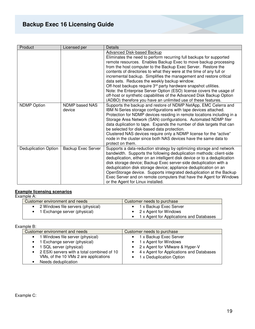| Product                     | Licensed per             | Details                                                                                                                                                                                                                                                                                                                                                                                                                                                                                                                                                                                                                                                                                                                                     |
|-----------------------------|--------------------------|---------------------------------------------------------------------------------------------------------------------------------------------------------------------------------------------------------------------------------------------------------------------------------------------------------------------------------------------------------------------------------------------------------------------------------------------------------------------------------------------------------------------------------------------------------------------------------------------------------------------------------------------------------------------------------------------------------------------------------------------|
|                             |                          | <b>Advanced Disk-based Backup</b><br>Eliminates the need to perform recurring full backups for supported<br>remote resources. Enables Backup Exec to move backup processing<br>from the host computer to the Backup Exec Server. Restore the<br>contents of directories to what they were at the time of any full or<br>incremental backup. Simplifies the management and restore critical<br>data sets. Reduces the weekly backup window.<br>Off-host backups require 3 <sup>rd</sup> party hardware snapshot utilities.<br>Note: the Enterprise Server Option (ESO) license covers the usage of<br>off-host or synthetic capabilities of the Advanced Disk Backup Option<br>(ADBO) therefore you have an unlimited use of these features. |
| <b>NDMP Option</b>          | NDMP based NAS<br>device | Supports the backup and restore of NDMP NetApp, EMC Celerra and<br>IBM N-Series storage configurations with tape devices attached.<br>Protection for NDMP devices residing in remote locations including in a<br>Storage Area Network (SAN) configurations. Automated NDMP filer<br>data duplication to tape. Expands the number of disk targets that can<br>be selected for disk-based data protection.<br>Clustered NAS devices require only a NDMP license for the "active"<br>node in the cluster since both NAS devices have the same data to<br>protect on them.                                                                                                                                                                      |
| <b>Deduplication Option</b> | Backup Exec Server       | Supports a data-reduction strategy by optimizing storage and network<br>bandwidth. Supports the following deduplication methods: client-side<br>deduplication, either on an intelligent disk device or to a deduplication<br>disk storage device; Backup Exec server-side deduplication with a<br>deduplication disk storage device; appliance deduplication on an<br>OpenStorage device. Supports integrated deduplication at the Backup<br>Exec Server and on remote computers that have the Agent for Windows<br>or the Agent for Linux installed.                                                                                                                                                                                       |

#### **Example licensing scenarios**

Example A:

| Customer environment and needs    | Customer needs to purchase               |
|-----------------------------------|------------------------------------------|
| 2 Windows file servers (physical) | 1 x Backup Exec Server                   |
| • 1 Exchange server (physical)    | • $2 \times$ Agent for Windows           |
|                                   | 1 x Agent for Applications and Databases |

Example B:

| Customer environment and needs               | Customer needs to purchase               |
|----------------------------------------------|------------------------------------------|
| • 1 Windows file server (physical)           | 1 x Backup Exec Server                   |
| • 1 Exchange server (physical)               | 1 x Agent for Windows                    |
| • 1 SQL server (physical)                    | • 2 x Agent for VMware & Hyper-V         |
| • 2 ESXi servers with a total combined of 10 | 4 x Agent for Applications and Databases |
| VMs, of the 10 VMs 2 are applications        | 1 x Deduplication Option                 |
| Needs deduplication                          |                                          |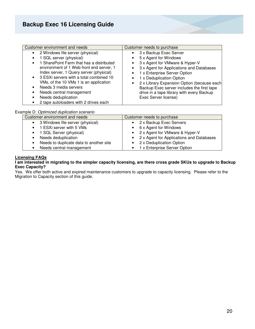#### Example D: Optimized duplication scenario

| Customer environment and needs                | Customer needs to purchase                 |
|-----------------------------------------------|--------------------------------------------|
| 3 Windows file server (physical)<br>$\bullet$ | • 2 x Backup Exec Servers                  |
| 1 ESXi server with 5 VMs                      | • 6 x Agent for Windows                    |
| • 1 SQL Server (physical)                     | • 2 x Agent for VMware & Hyper-V           |
| Needs deduplication                           | • 2 x Agent for Applications and Databases |
| Needs to duplicate data to another site       | • 2 x Deduplication Option                 |
| Needs central management                      | • 1 x Enterprise Server Option             |

#### **Licensing FAQs**

#### **I am interested in migrating to the simpler capacity licensing, are there cross grade SKUs to upgrade to Backup Exec Capacity?**

Yes. We offer both active and expired maintenance customers to upgrade to capacity licensing. Please refer to the Migration to Capacity section of this guide.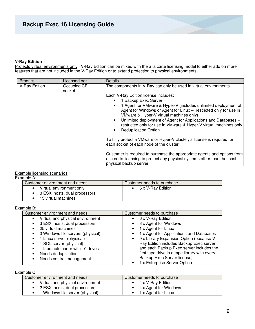#### **V-Ray Edition**

Protects virtual environments only. V-Ray Edition can be mixed with the a la carte licensing model to either add on more features that are not included in the V-Ray Edition or to extend protection to physical environments.

| Product       | Licensed per           | Details                                                                                                                                                                                                                                                                                                                                                                                                                                                                                                                                                                                                                       |
|---------------|------------------------|-------------------------------------------------------------------------------------------------------------------------------------------------------------------------------------------------------------------------------------------------------------------------------------------------------------------------------------------------------------------------------------------------------------------------------------------------------------------------------------------------------------------------------------------------------------------------------------------------------------------------------|
| V-Ray Edition | Occupied CPU<br>socket | The components in V-Ray can only be used in virtual environments.<br>Each V-Ray Edition license includes:<br>1 Backup Exec Server<br>1 Agent for VMware & Hyper-V (includes unlimited deployment of<br>Agent for Windows or Agent for Linux - restricted only for use in<br>VMware & Hyper-V virtual machines only)<br>Unlimited deployment of Agent for Applications and Databases -<br>$\bullet$<br>restricted only for use in VMware & Hyper-V virtual machines only<br><b>Deduplication Option</b><br>To fully protect a VMware or Hyper-V cluster, a license is required for<br>each socket of each node of the cluster. |
|               |                        | Customer is required to purchase the appropriate agents and options from<br>a la carte licensing to protect any physical systems other than the local<br>physical backup server.                                                                                                                                                                                                                                                                                                                                                                                                                                              |

#### Example licensing scenarios

Example A:

| Customer environment and needs  | Customer needs to purchase |
|---------------------------------|----------------------------|
| Virtual environment only        | • 6 x V-Ray Edition        |
| • 3 ESXi hosts, dual processors |                            |
| 15 virtual machines             |                            |

Example B:

| Customer environment and needs         | Customer needs to purchase                            |
|----------------------------------------|-------------------------------------------------------|
| Virtual and physical environment       | 6 x V-Ray Edition<br>٠                                |
| 3 ESXi hosts, dual processors<br>٠     | 3 x Agent for Windows<br>٠                            |
| 25 virtual machines                    | 1 x Agent for Linux                                   |
| 3 Windows file servers (physical)<br>٠ | 1 x Agent for Applications and Databases<br>٠         |
| 1 Linux server (physical)              | 9 x Library Expansion Option (because V-<br>$\bullet$ |
| 1 SQL server (physical)                | Ray Edition includes Backup Exec server               |
| 1 tape autoloader with 10 drives       | and each Backup Exec server includes the              |
| Needs deduplication                    | first tape drive in a tape library with every         |
| Needs central management               | Backup Exec Server license)                           |
|                                        | 1 x Enterprise Server Option                          |

#### Example C:

| Customer environment and needs   | Customer needs to purchase      |
|----------------------------------|---------------------------------|
| Virtual and physical environment | $\bullet$ 4 x V-Ray Edition     |
| • 2 ESXi hosts, dual processors  | $\bullet$ 4 x Agent for Windows |
| 1 Windows file server (physical) | $\bullet$ 1 x Agent for Linux   |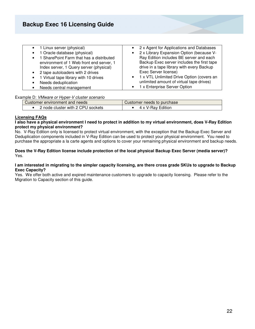| • 1 Linux server (physical)                   | 2 x Agent for Applications and Databases<br>$\bullet$ |
|-----------------------------------------------|-------------------------------------------------------|
| 1 Oracle database (physical)                  | 2 x Library Expansion Option (because V-<br>$\bullet$ |
| 1 SharePoint Farm that has a distributed      | Ray Edition includes BE server and each               |
| environment of 1 Web front end server, 1      | Backup Exec server includes the first tape            |
| Index server, 1 Query server (physical)       | drive in a tape library with every Backup             |
| 2 tape autoloaders with 2 drives<br>$\bullet$ | Exec Server license)                                  |
| 1 Virtual tape library with 10 drives         | • 1 x VTL Unlimited Drive Option (covers an           |
| Needs deduplication                           | unlimited amount of virtual tape drives)              |
| Needs central management                      | 1 x Enterprise Server Option<br>$\bullet$             |

#### Example D: VMware or Hyper-V cluster scenario

| Customer environment and needs       | Customer needs to purchase |
|--------------------------------------|----------------------------|
| cluster with 2 CPU sockets (<br>node | V-Rav Edition              |

#### **Licensing FAQs**

#### **I also have a physical environment I need to protect in addition to my virtual environment, does V-Ray Edition protect my physical environment?**

No. V-Ray Edition only is licensed to protect virtual environment, with the exception that the Backup Exec Server and Deduplication components included in V-Ray Edition can be used to protect your physical environment. You need to purchase the appropriate a la carte agents and options to cover your remaining physical environment and backup needs.

#### **Does the V-Ray Edition license include protection of the local physical Backup Exec Server (media server)?**  Yes.

#### **I am interested in migrating to the simpler capacity licensing, are there cross grade SKUs to upgrade to Backup Exec Capacity?**

Yes. We offer both active and expired maintenance customers to upgrade to capacity licensing. Please refer to the Migration to Capacity section of this guide.